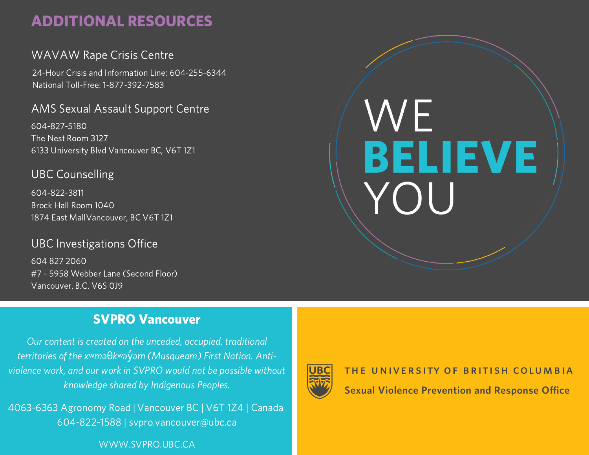# ADDITIONAL RESOURCES

## WAVAW Rape Crisis Centre

24-Hour Crisis and Information Line: 604-255-6344 National Toll-Free: 1-877-392-7583

### AMS Sexual Assault Support Centre

604-827-5180 The Nest Room 3127 6133 University Blvd Vancouver BC, V6T 1Z1

## UBC Counselling

604-822-3811 Brock Hall Room 1040 1874 East MallVancouver, BC V6T 1Z1

### UBC Investigations Office

604 827 2060 #7 - 5958 Webber Lane (Second Floor) Vancouver, B.C. V6S 0J9

## SVPRO Vancouver

Our content is created on the unceded, occupied, traditional territories of the x<sup>w</sup>maθkwayvam (Musqueam) First Nation. Antiviolence work, and our work in SVPRO would not be possible without knowledge shared by Indigenous Peoples.

4063-6363 Agronomy Road | Vancouver BC | V6T 1Z4 | Canada 604-822-1588 | svpro.vancouver@ubc.ca

### WWW.SVPRO.UBC.CA



# THE UNIVERSITY OF BRITISH COLUMBIA

**BELIEVE**<br>YOU

WE

**Sexual Violence Prevention and Response Office**